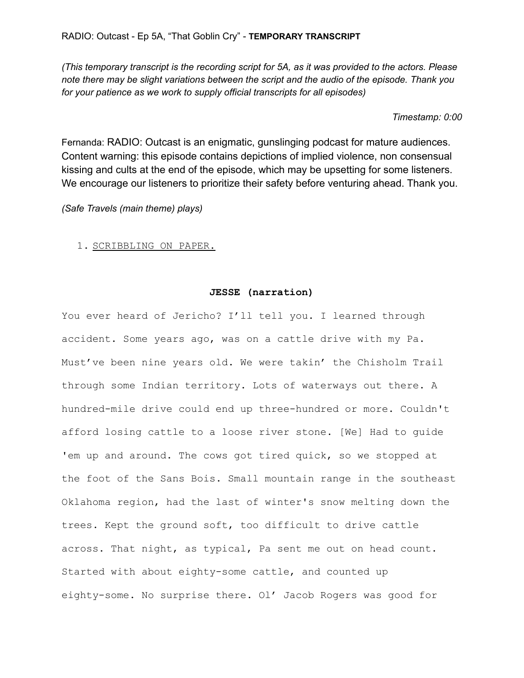*(This temporary transcript is the recording script for 5A, as it was provided to the actors. Please note there may be slight variations between the script and the audio of the episode. Thank you for your patience as we work to supply official transcripts for all episodes)*

# *Timestamp: 0:00*

Fernanda: RADIO: Outcast is an enigmatic, gunslinging podcast for mature audiences. Content warning: this episode contains depictions of implied violence, non consensual kissing and cults at the end of the episode, which may be upsetting for some listeners. We encourage our listeners to prioritize their safety before venturing ahead. Thank you.

*(Safe Travels (main theme) plays)*

# 1. SCRIBBLING ON PAPER.

# **JESSE (narration)**

You ever heard of Jericho? I'll tell you. I learned through accident. Some years ago, was on a cattle drive with my Pa. Must've been nine years old. We were takin' the Chisholm Trail through some Indian territory. Lots of waterways out there. A hundred-mile drive could end up three-hundred or more. Couldn't afford losing cattle to a loose river stone. [We] Had to guide 'em up and around. The cows got tired quick, so we stopped at the foot of the Sans Bois. Small mountain range in the southeast Oklahoma region, had the last of winter's snow melting down the trees. Kept the ground soft, too difficult to drive cattle across. That night, as typical, Pa sent me out on head count. Started with about eighty-some cattle, and counted up eighty-some. No surprise there. Ol' Jacob Rogers was good for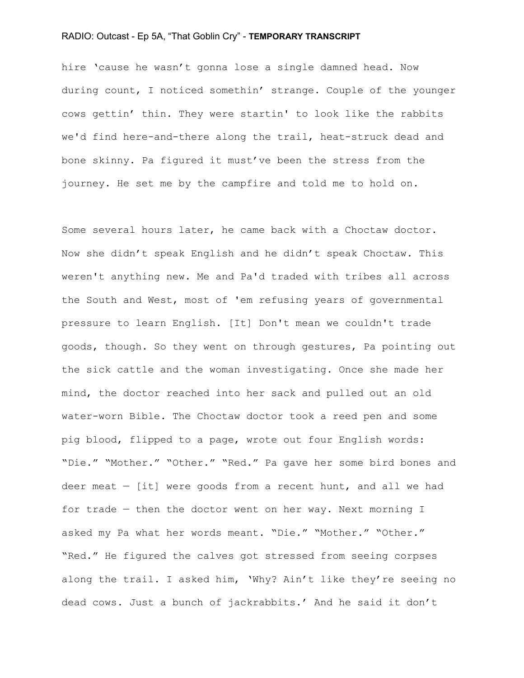hire 'cause he wasn't gonna lose a single damned head. Now during count, I noticed somethin' strange. Couple of the younger cows gettin' thin. They were startin' to look like the rabbits we'd find here-and-there along the trail, heat-struck dead and bone skinny. Pa figured it must've been the stress from the journey. He set me by the campfire and told me to hold on.

Some several hours later, he came back with a Choctaw doctor. Now she didn't speak English and he didn't speak Choctaw. This weren't anything new. Me and Pa'd traded with tribes all across the South and West, most of 'em refusing years of governmental pressure to learn English. [It] Don't mean we couldn't trade goods, though. So they went on through gestures, Pa pointing out the sick cattle and the woman investigating. Once she made her mind, the doctor reached into her sack and pulled out an old water-worn Bible. The Choctaw doctor took a reed pen and some pig blood, flipped to a page, wrote out four English words: "Die." "Mother." "Other." "Red." Pa gave her some bird bones and deer meat  $-$  [it] were goods from a recent hunt, and all we had for trade — then the doctor went on her way. Next morning I asked my Pa what her words meant. "Die." "Mother." "Other." "Red." He figured the calves got stressed from seeing corpses along the trail. I asked him, 'Why? Ain't like they're seeing no dead cows. Just a bunch of jackrabbits.' And he said it don't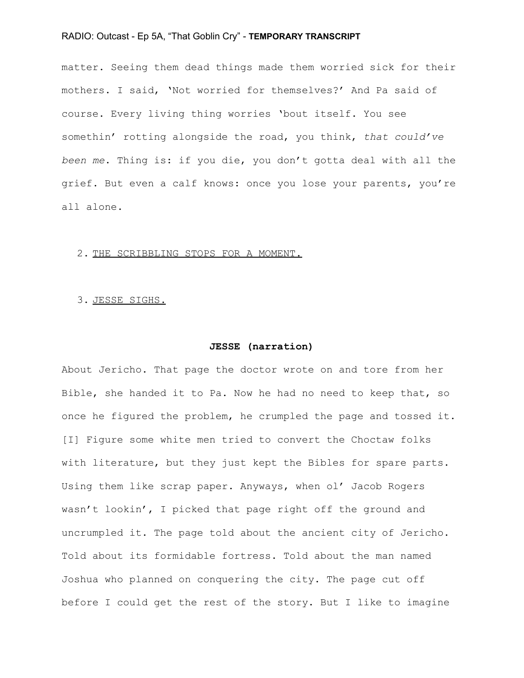matter. Seeing them dead things made them worried sick for their mothers. I said, 'Not worried for themselves?' And Pa said of course. Every living thing worries 'bout itself. You see somethin' rotting alongside the road, you think, *that could've been me*. Thing is: if you die, you don't gotta deal with all the grief. But even a calf knows: once you lose your parents, you're all alone.

#### 2. THE SCRIBBLING STOPS FOR A MOMENT.

## 3. JESSE SIGHS.

#### **JESSE (narration)**

About Jericho. That page the doctor wrote on and tore from her Bible, she handed it to Pa. Now he had no need to keep that, so once he figured the problem, he crumpled the page and tossed it. [I] Figure some white men tried to convert the Choctaw folks with literature, but they just kept the Bibles for spare parts. Using them like scrap paper. Anyways, when ol' Jacob Rogers wasn't lookin', I picked that page right off the ground and uncrumpled it. The page told about the ancient city of Jericho. Told about its formidable fortress. Told about the man named Joshua who planned on conquering the city. The page cut off before I could get the rest of the story. But I like to imagine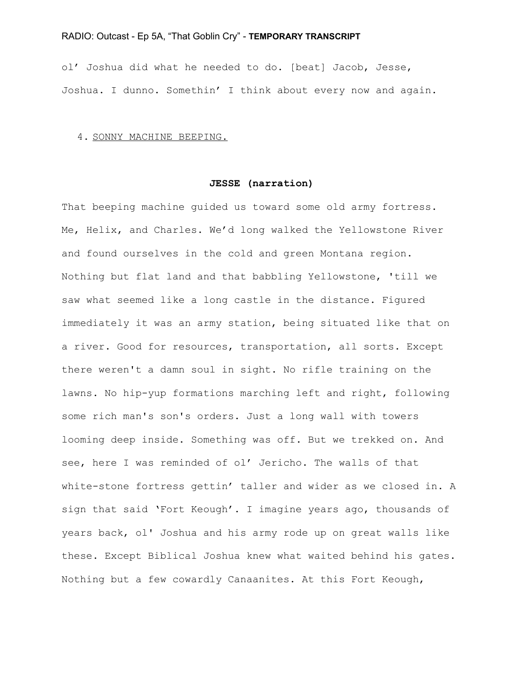ol' Joshua did what he needed to do. [beat] Jacob, Jesse, Joshua. I dunno. Somethin' I think about every now and again.

## 4. SONNY MACHINE BEEPING.

# **JESSE (narration)**

That beeping machine guided us toward some old army fortress. Me, Helix, and Charles. We'd long walked the Yellowstone River and found ourselves in the cold and green Montana region. Nothing but flat land and that babbling Yellowstone, 'till we saw what seemed like a long castle in the distance. Figured immediately it was an army station, being situated like that on a river. Good for resources, transportation, all sorts. Except there weren't a damn soul in sight. No rifle training on the lawns. No hip-yup formations marching left and right, following some rich man's son's orders. Just a long wall with towers looming deep inside. Something was off. But we trekked on. And see, here I was reminded of ol' Jericho. The walls of that white-stone fortress gettin' taller and wider as we closed in. A sign that said 'Fort Keough'. I imagine years ago, thousands of years back, ol' Joshua and his army rode up on great walls like these. Except Biblical Joshua knew what waited behind his gates. Nothing but a few cowardly Canaanites. At this Fort Keough,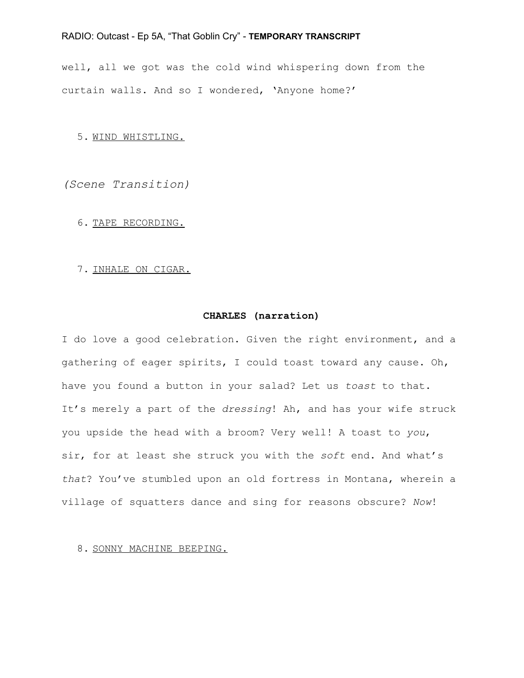well, all we got was the cold wind whispering down from the curtain walls. And so I wondered, 'Anyone home?'

5. WIND WHISTLING.

*(Scene Transition)*

# 6. TAPE RECORDING.

# 7. INHALE ON CIGAR.

# **CHARLES (narration)**

I do love a good celebration. Given the right environment, and a gathering of eager spirits, I could toast toward any cause. Oh, have you found a button in your salad? Let us *toast* to that. It's merely a part of the *dressing*! Ah, and has your wife struck you upside the head with a broom? Very well! A toast to *you*, sir, for at least she struck you with the *soft* end. And what's *that*? You've stumbled upon an old fortress in Montana, wherein a village of squatters dance and sing for reasons obscure? *Now*!

8. SONNY MACHINE BEEPING.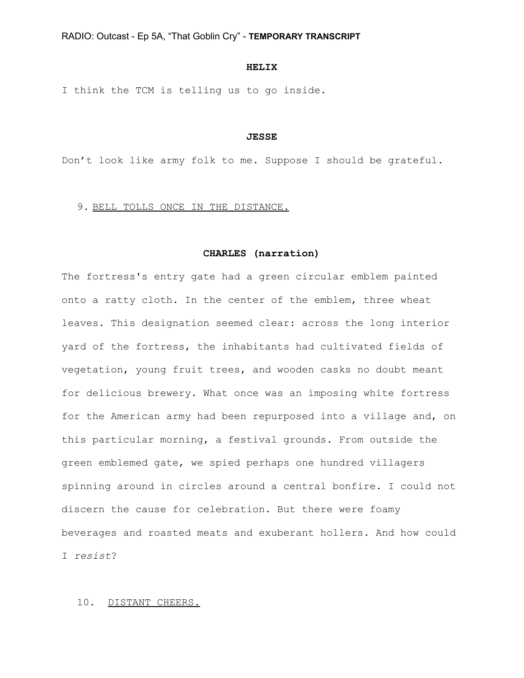## **HELIX**

I think the TCM is telling us to go inside.

#### **JESSE**

Don't look like army folk to me. Suppose I should be grateful.

## 9. BELL TOLLS ONCE IN THE DISTANCE.

#### **CHARLES (narration)**

The fortress's entry gate had a green circular emblem painted onto a ratty cloth. In the center of the emblem, three wheat leaves. This designation seemed clear: across the long interior yard of the fortress, the inhabitants had cultivated fields of vegetation, young fruit trees, and wooden casks no doubt meant for delicious brewery. What once was an imposing white fortress for the American army had been repurposed into a village and, on this particular morning, a festival grounds. From outside the green emblemed gate, we spied perhaps one hundred villagers spinning around in circles around a central bonfire. I could not discern the cause for celebration. But there were foamy beverages and roasted meats and exuberant hollers. And how could I *resist*?

# 10. DISTANT CHEERS.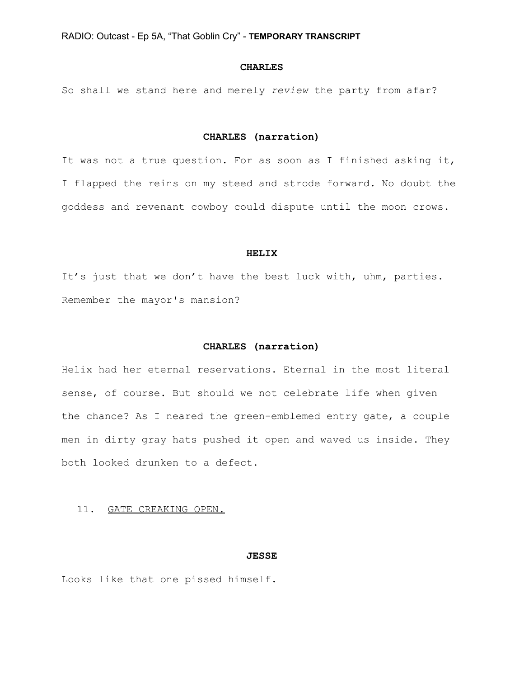#### **CHARLES**

So shall we stand here and merely *review* the party from afar?

## **CHARLES (narration)**

It was not a true question. For as soon as I finished asking it, I flapped the reins on my steed and strode forward. No doubt the goddess and revenant cowboy could dispute until the moon crows.

#### **HELIX**

It's just that we don't have the best luck with, uhm, parties. Remember the mayor's mansion?

## **CHARLES (narration)**

Helix had her eternal reservations. Eternal in the most literal sense, of course. But should we not celebrate life when given the chance? As I neared the green-emblemed entry gate, a couple men in dirty gray hats pushed it open and waved us inside. They both looked drunken to a defect.

## 11. GATE CREAKING OPEN.

### **JESSE**

Looks like that one pissed himself.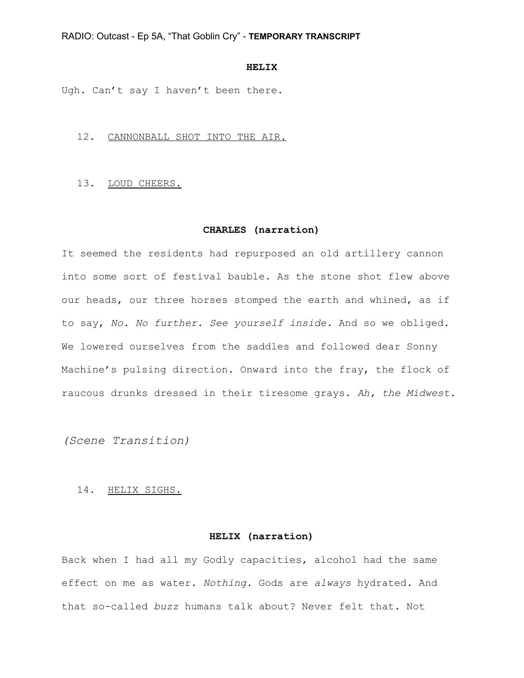## **HELIX**

Ugh. Can't say I haven't been there.

12. CANNONBALL SHOT INTO THE AIR.

# 13. LOUD CHEERS.

#### **CHARLES (narration)**

It seemed the residents had repurposed an old artillery cannon into some sort of festival bauble. As the stone shot flew above our heads, our three horses stomped the earth and whined, as if to say, *No. No further. See yourself inside.* And so we obliged. We lowered ourselves from the saddles and followed dear Sonny Machine's pulsing direction. Onward into the fray, the flock of raucous drunks dressed in their tiresome grays. *Ah, the Midwest.*

*(Scene Transition)*

# 14. HELIX SIGHS.

# **HELIX (narration)**

Back when I had all my Godly capacities, alcohol had the same effect on me as water. *Nothing*. Gods are *always* hydrated. And that so-called *buzz* humans talk about? Never felt that. Not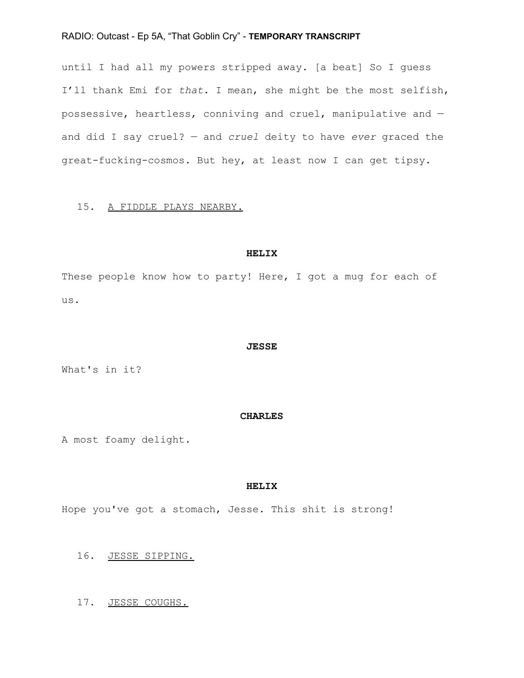until I had all my powers stripped away. [a beat] So I guess I'll thank Emi for *that*. I mean, she might be the most selfish, possessive, heartless, conniving and cruel, manipulative and and did I say cruel? — and *cruel* deity to have *ever* graced the great-fucking-cosmos. But hey, at least now I can get tipsy.

# 15. A FIDDLE PLAYS NEARBY.

#### **HELIX**

These people know how to party! Here, I got a mug for each of us.

#### **JESSE**

What's in it?

#### **CHARLES**

A most foamy delight.

## **HELIX**

Hope you've got a stomach, Jesse. This shit is strong!

# 16. JESSE SIPPING.

17. JESSE COUGHS.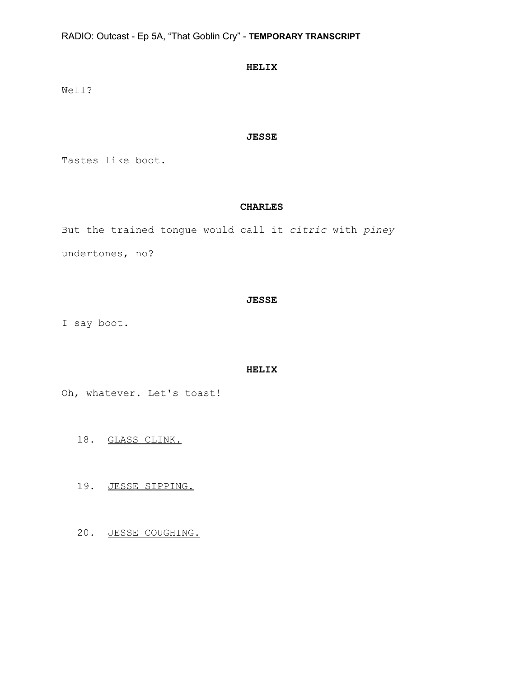```
HELIX
```
Well?

# **JESSE**

Tastes like boot.

## **CHARLES**

But the trained tongue would call it *citric* with *piney* undertones, no?

## **JESSE**

I say boot.

### **HELIX**

Oh, whatever. Let's toast!

- 18. GLASS CLINK.
- 19. JESSE SIPPING.

20. JESSE COUGHING.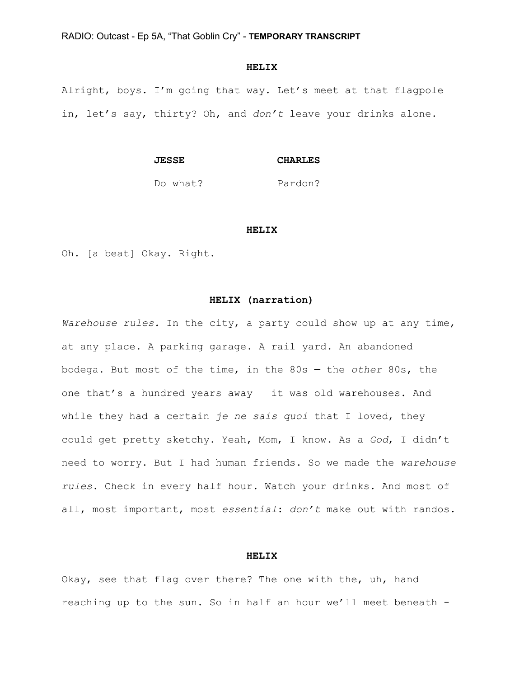## **HELIX**

Alright, boys. I'm going that way. Let's meet at that flagpole in, let's say, thirty? Oh, and *don't* leave your drinks alone.

**JESSE CHARLES**

Do what? Pardon?

#### **HELIX**

Oh. [a beat] Okay. Right.

## **HELIX (narration)**

*Warehouse rules.* In the city, a party could show up at any time, at any place. A parking garage. A rail yard. An abandoned bodega. But most of the time, in the 80s — the *other* 80s, the one that's a hundred years away — it was old warehouses. And while they had a certain *je ne sais quoi* that I loved, they could get pretty sketchy. Yeah, Mom, I know. As a *God*, I didn't need to worry. But I had human friends. So we made the *warehouse rules*. Check in every half hour. Watch your drinks. And most of all, most important, most *essential*: *don't* make out with randos.

### **HELIX**

Okay, see that flag over there? The one with the, uh, hand reaching up to the sun. So in half an hour we'll meet beneath -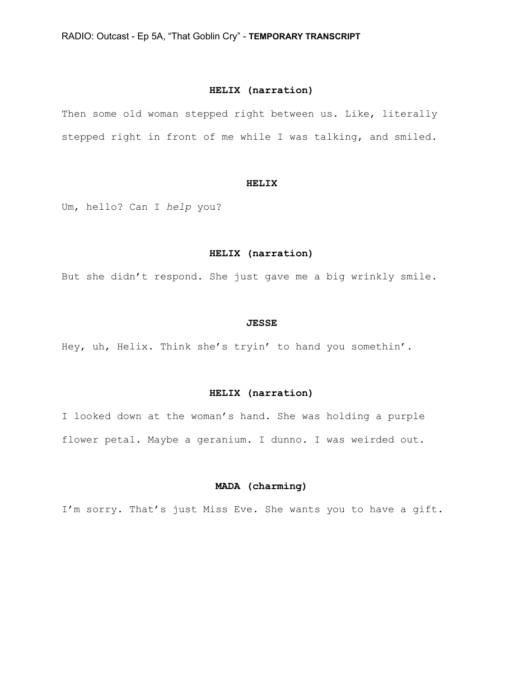# **HELIX (narration)**

Then some old woman stepped right between us. Like, literally stepped right in front of me while I was talking, and smiled.

## **HELIX**

Um, hello? Can I *help* you?

## **HELIX (narration)**

But she didn't respond. She just gave me a big wrinkly smile.

#### **JESSE**

Hey, uh, Helix. Think she's tryin' to hand you somethin'.

# **HELIX (narration)**

I looked down at the woman's hand. She was holding a purple flower petal. Maybe a geranium. I dunno. I was weirded out.

# **MADA (charming)**

I'm sorry. That's just Miss Eve. She wants you to have a gift.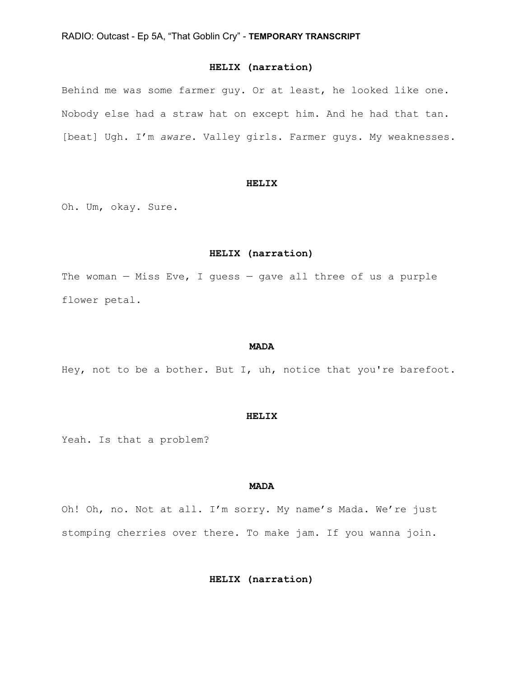# **HELIX (narration)**

Behind me was some farmer guy. Or at least, he looked like one. Nobody else had a straw hat on except him. And he had that tan. [beat] Ugh. I'm *aware*. Valley girls. Farmer guys. My weaknesses.

## **HELIX**

Oh. Um, okay. Sure.

#### **HELIX (narration)**

The woman  $-$  Miss Eve, I guess  $-$  gave all three of us a purple flower petal.

#### **MADA**

Hey, not to be a bother. But I, uh, notice that you're barefoot.

#### **HELIX**

Yeah. Is that a problem?

#### **MADA**

Oh! Oh, no. Not at all. I'm sorry. My name's Mada. We're just stomping cherries over there. To make jam. If you wanna join.

**HELIX (narration)**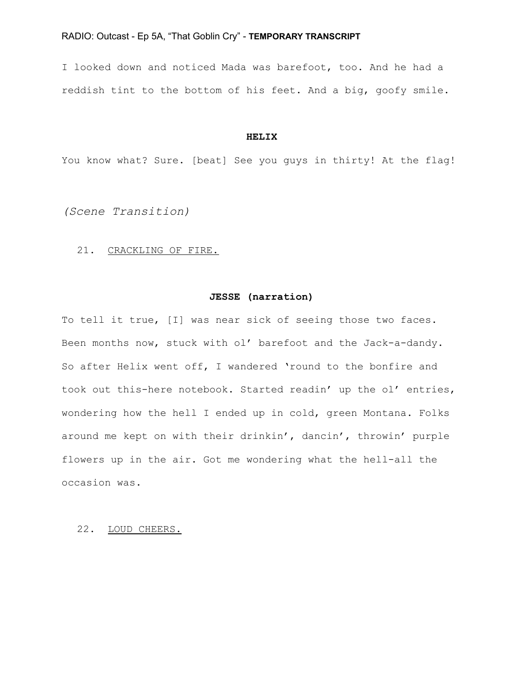I looked down and noticed Mada was barefoot, too. And he had a reddish tint to the bottom of his feet. And a big, goofy smile.

#### **HELIX**

You know what? Sure. [beat] See you guys in thirty! At the flag!

*(Scene Transition)*

# 21. CRACKLING OF FIRE.

# **JESSE (narration)**

To tell it true, [I] was near sick of seeing those two faces. Been months now, stuck with ol' barefoot and the Jack-a-dandy. So after Helix went off, I wandered 'round to the bonfire and took out this-here notebook. Started readin' up the ol' entries, wondering how the hell I ended up in cold, green Montana. Folks around me kept on with their drinkin', dancin', throwin' purple flowers up in the air. Got me wondering what the hell-all the occasion was.

## 22. LOUD CHEERS.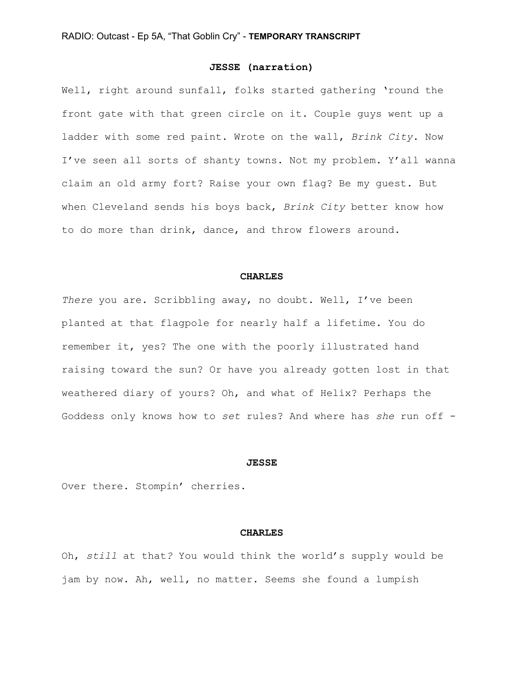# **JESSE (narration)**

Well, right around sunfall, folks started gathering 'round the front gate with that green circle on it. Couple guys went up a ladder with some red paint. Wrote on the wall, *Brink City*. Now I've seen all sorts of shanty towns. Not my problem. Y'all wanna claim an old army fort? Raise your own flag? Be my guest. But when Cleveland sends his boys back, *Brink City* better know how to do more than drink, dance, and throw flowers around.

#### **CHARLES**

*There* you are. Scribbling away, no doubt. Well, I've been planted at that flagpole for nearly half a lifetime. You do remember it, yes? The one with the poorly illustrated hand raising toward the sun? Or have you already gotten lost in that weathered diary of yours? Oh, and what of Helix? Perhaps the Goddess only knows how to *set* rules? And where has *she* run off -

#### **JESSE**

Over there. Stompin' cherries.

#### **CHARLES**

Oh, *still* at that*?* You would think the world's supply would be jam by now. Ah, well, no matter. Seems she found a lumpish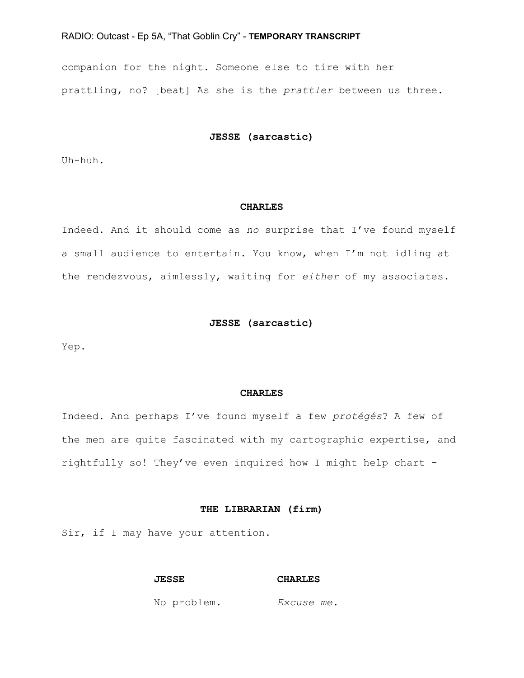companion for the night. Someone else to tire with her prattling, no? [beat] As she is the *prattler* between us three.

## **JESSE (sarcastic)**

Uh-huh.

### **CHARLES**

Indeed. And it should come as *no* surprise that I've found myself a small audience to entertain. You know, when I'm not idling at the rendezvous, aimlessly, waiting for *either* of my associates.

#### **JESSE (sarcastic)**

Yep.

#### **CHARLES**

Indeed. And perhaps I've found myself a few *protégés*? A few of the men are quite fascinated with my cartographic expertise, and rightfully so! They've even inquired how I might help chart -

# **THE LIBRARIAN (firm)**

Sir, if I may have your attention.

# **JESSE CHARLES**

No problem. *Excuse me*.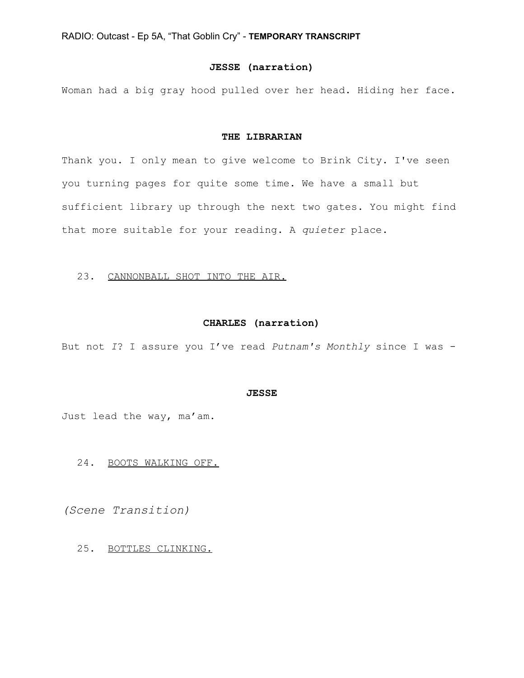# **JESSE (narration)**

Woman had a big gray hood pulled over her head. Hiding her face.

## **THE LIBRARIAN**

Thank you. I only mean to give welcome to Brink City. I've seen you turning pages for quite some time. We have a small but sufficient library up through the next two gates. You might find that more suitable for your reading. A *quieter* place.

23. CANNONBALL SHOT INTO THE AIR.

## **CHARLES (narration)**

But not *I*? I assure you I've read *Putnam's Monthly* since I was -

#### **JESSE**

Just lead the way, ma'am.

24. BOOTS WALKING OFF.

*(Scene Transition)*

25. BOTTLES CLINKING.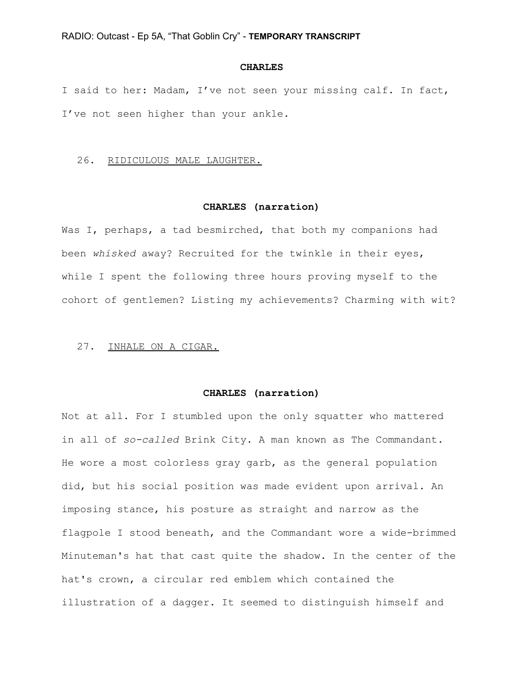#### **CHARLES**

I said to her: Madam, I've not seen your missing calf. In fact, I've not seen higher than your ankle.

## 26. RIDICULOUS MALE LAUGHTER.

# **CHARLES (narration)**

Was I, perhaps, a tad besmirched, that both my companions had been *whisked* away? Recruited for the twinkle in their eyes, while I spent the following three hours proving myself to the cohort of gentlemen? Listing my achievements? Charming with wit?

## 27. INHALE ON A CIGAR.

#### **CHARLES (narration)**

Not at all. For I stumbled upon the only squatter who mattered in all of *so-called* Brink City. A man known as The Commandant. He wore a most colorless gray garb, as the general population did, but his social position was made evident upon arrival. An imposing stance, his posture as straight and narrow as the flagpole I stood beneath, and the Commandant wore a wide-brimmed Minuteman's hat that cast quite the shadow. In the center of the hat's crown, a circular red emblem which contained the illustration of a dagger. It seemed to distinguish himself and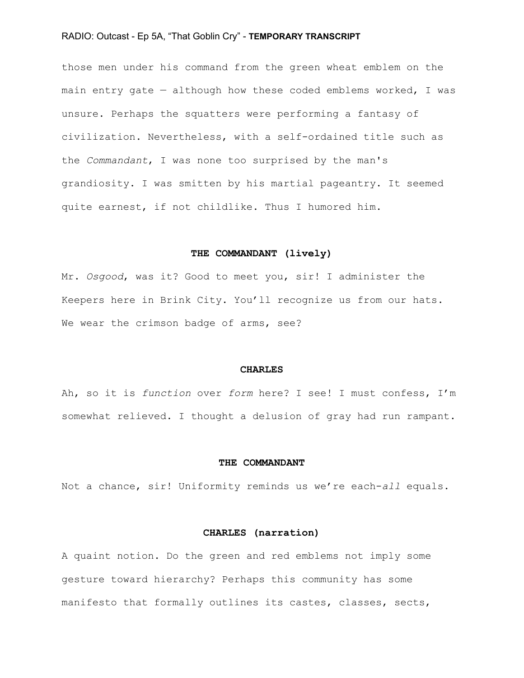those men under his command from the green wheat emblem on the main entry gate  $-$  although how these coded emblems worked, I was unsure. Perhaps the squatters were performing a fantasy of civilization. Nevertheless, with a self-ordained title such as the *Commandant*, I was none too surprised by the man's grandiosity. I was smitten by his martial pageantry. It seemed quite earnest, if not childlike. Thus I humored him.

## **THE COMMANDANT (lively)**

Mr. *Osgood*, was it? Good to meet you, sir! I administer the Keepers here in Brink City. You'll recognize us from our hats. We wear the crimson badge of arms, see?

#### **CHARLES**

Ah, so it is *function* over *form* here? I see! I must confess, I'm somewhat relieved. I thought a delusion of gray had run rampant.

#### **THE COMMANDANT**

Not a chance, sir! Uniformity reminds us we're each-*all* equals.

# **CHARLES (narration)**

A quaint notion. Do the green and red emblems not imply some gesture toward hierarchy? Perhaps this community has some manifesto that formally outlines its castes, classes, sects,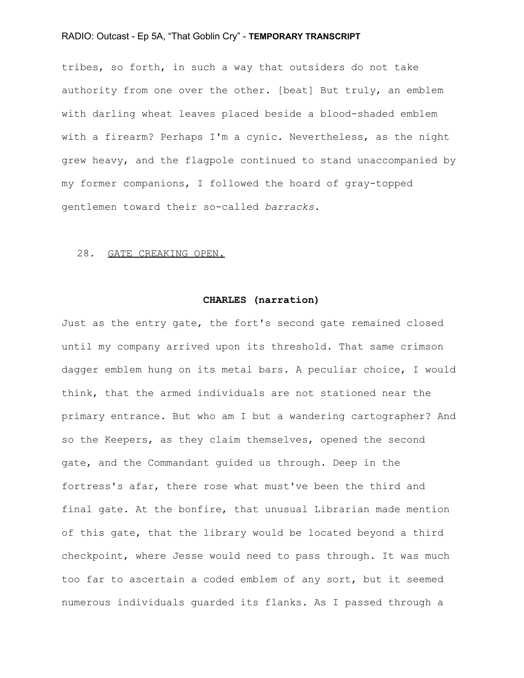tribes, so forth, in such a way that outsiders do not take authority from one over the other. [beat] But truly, an emblem with darling wheat leaves placed beside a blood-shaded emblem with a firearm? Perhaps I'm a cynic. Nevertheless, as the night grew heavy, and the flagpole continued to stand unaccompanied by my former companions, I followed the hoard of gray-topped gentlemen toward their so-called *barracks*.

#### 28. GATE CREAKING OPEN.

#### **CHARLES (narration)**

Just as the entry gate, the fort's second gate remained closed until my company arrived upon its threshold. That same crimson dagger emblem hung on its metal bars. A peculiar choice, I would think, that the armed individuals are not stationed near the primary entrance. But who am I but a wandering cartographer? And so the Keepers, as they claim themselves, opened the second gate, and the Commandant guided us through. Deep in the fortress's afar, there rose what must've been the third and final gate. At the bonfire, that unusual Librarian made mention of this gate, that the library would be located beyond a third checkpoint, where Jesse would need to pass through. It was much too far to ascertain a coded emblem of any sort, but it seemed numerous individuals guarded its flanks. As I passed through a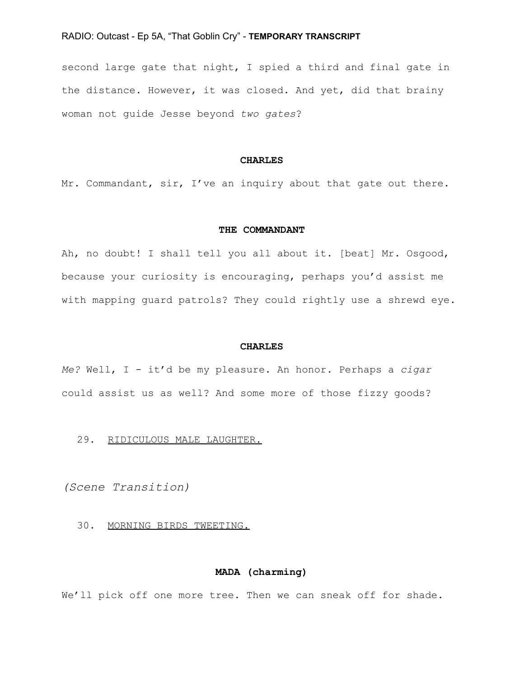second large gate that night, I spied a third and final gate in the distance. However, it was closed. And yet, did that brainy woman not guide Jesse beyond *two gates*?

## **CHARLES**

Mr. Commandant, sir, I've an inquiry about that gate out there.

## **THE COMMANDANT**

Ah, no doubt! I shall tell you all about it. [beat] Mr. Osgood, because your curiosity is encouraging, perhaps you'd assist me with mapping guard patrols? They could rightly use a shrewd eye.

#### **CHARLES**

*Me?* Well, I - it'd be my pleasure. An honor. Perhaps a *cigar* could assist us as well? And some more of those fizzy goods?

# 29. RIDICULOUS MALE LAUGHTER.

*(Scene Transition)*

30. MORNING BIRDS TWEETING.

## **MADA (charming)**

We'll pick off one more tree. Then we can sneak off for shade.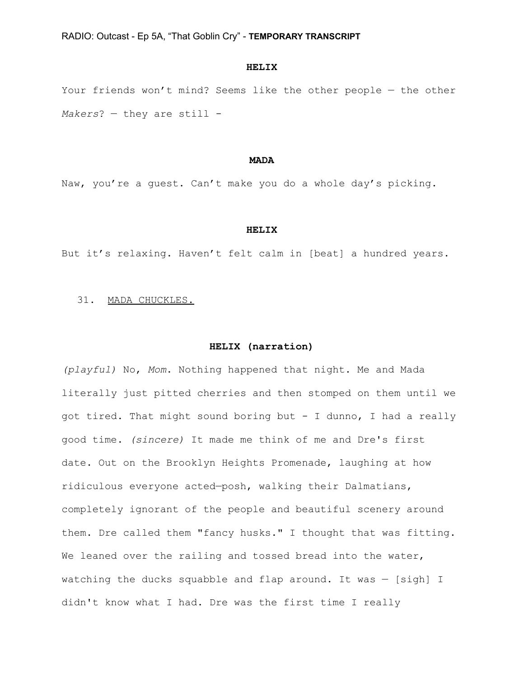## **HELIX**

Your friends won't mind? Seems like the other people — the other *Makers*? — they are still -

#### **MADA**

Naw, you're a guest. Can't make you do a whole day's picking.

#### **HELIX**

But it's relaxing. Haven't felt calm in [beat] a hundred years.

## 31. MADA CHUCKLES.

## **HELIX (narration)**

*(playful)* No, *Mom*. Nothing happened that night. Me and Mada literally just pitted cherries and then stomped on them until we got tired. That might sound boring but - I dunno, I had a really good time. *(sincere)* It made me think of me and Dre's first date. Out on the Brooklyn Heights Promenade, laughing at how ridiculous everyone acted—posh, walking their Dalmatians, completely ignorant of the people and beautiful scenery around them. Dre called them "fancy husks." I thought that was fitting. We leaned over the railing and tossed bread into the water, watching the ducks squabble and flap around. It was — [sigh] I didn't know what I had. Dre was the first time I really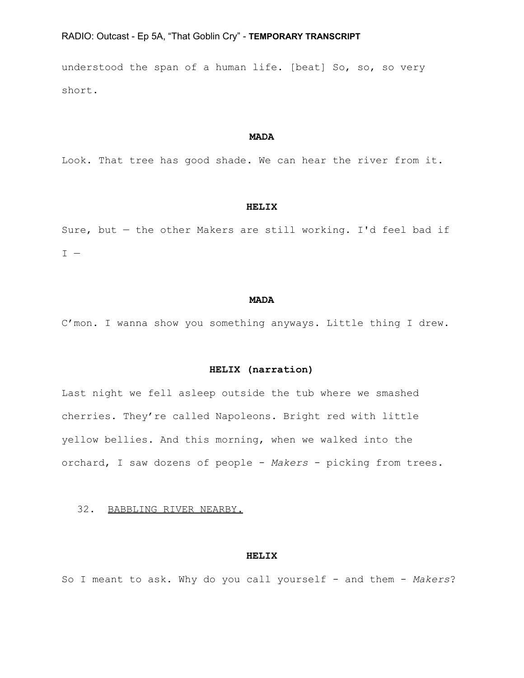understood the span of a human life. [beat] So, so, so very short.

## **MADA**

Look. That tree has good shade. We can hear the river from it.

## **HELIX**

Sure, but — the other Makers are still working. I'd feel bad if  $\mathtt{I}$   $-$ 

#### **MADA**

C'mon. I wanna show you something anyways. Little thing I drew.

# **HELIX (narration)**

Last night we fell asleep outside the tub where we smashed cherries. They're called Napoleons. Bright red with little yellow bellies. And this morning, when we walked into the orchard, I saw dozens of people - *Makers* - picking from trees.

# 32. BABBLING RIVER NEARBY.

#### **HELIX**

So I meant to ask. Why do you call yourself - and them - *Makers*?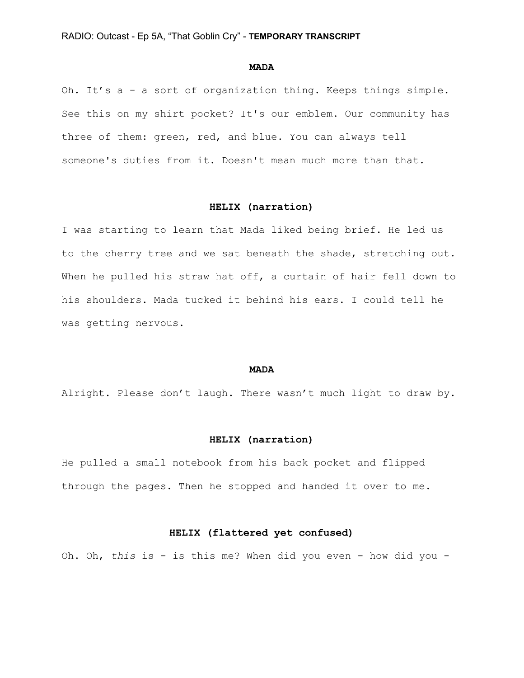#### **MADA**

Oh. It's a - a sort of organization thing. Keeps things simple. See this on my shirt pocket? It's our emblem. Our community has three of them: green, red, and blue. You can always tell someone's duties from it. Doesn't mean much more than that.

# **HELIX (narration)**

I was starting to learn that Mada liked being brief. He led us to the cherry tree and we sat beneath the shade, stretching out. When he pulled his straw hat off, a curtain of hair fell down to his shoulders. Mada tucked it behind his ears. I could tell he was getting nervous.

#### **MADA**

Alright. Please don't laugh. There wasn't much light to draw by.

## **HELIX (narration)**

He pulled a small notebook from his back pocket and flipped through the pages. Then he stopped and handed it over to me.

# **HELIX (flattered yet confused)**

Oh. Oh, *this* is - is this me? When did you even - how did you -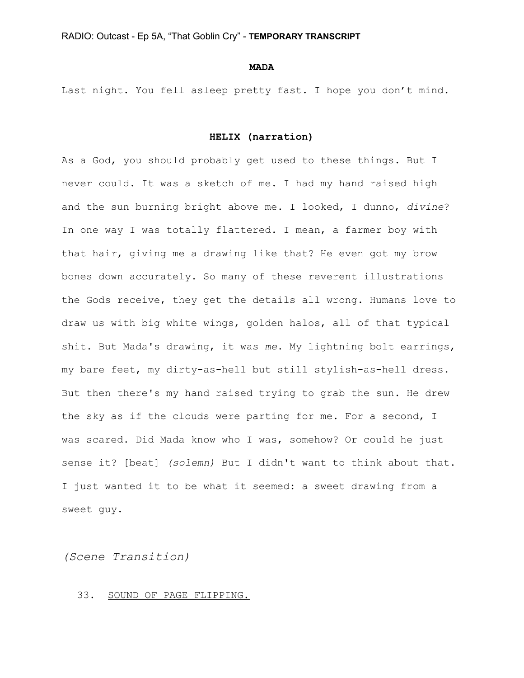#### **MADA**

Last night. You fell asleep pretty fast. I hope you don't mind.

# **HELIX (narration)**

As a God, you should probably get used to these things. But I never could. It was a sketch of me. I had my hand raised high and the sun burning bright above me. I looked, I dunno, *divine*? In one way I was totally flattered. I mean, a farmer boy with that hair, giving me a drawing like that? He even got my brow bones down accurately. So many of these reverent illustrations the Gods receive, they get the details all wrong. Humans love to draw us with big white wings, golden halos, all of that typical shit. But Mada's drawing, it was *me*. My lightning bolt earrings, my bare feet, my dirty-as-hell but still stylish-as-hell dress. But then there's my hand raised trying to grab the sun. He drew the sky as if the clouds were parting for me. For a second, I was scared. Did Mada know who I was, somehow? Or could he just sense it? [beat] *(solemn)* But I didn't want to think about that. I just wanted it to be what it seemed: a sweet drawing from a sweet guy.

*(Scene Transition)*

33. SOUND OF PAGE FLIPPING.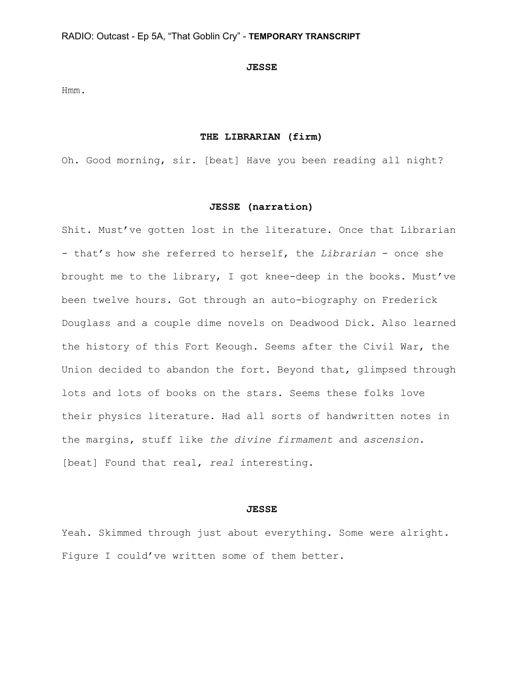#### **JESSE**

Hmm.

## **THE LIBRARIAN (firm)**

Oh. Good morning, sir. [beat] Have you been reading all night?

# **JESSE (narration)**

Shit. Must've gotten lost in the literature. Once that Librarian - that's how she referred to herself, the *Librarian* - once she brought me to the library, I got knee-deep in the books. Must've been twelve hours. Got through an auto-biography on Frederick Douglass and a couple dime novels on Deadwood Dick. Also learned the history of this Fort Keough. Seems after the Civil War, the Union decided to abandon the fort. Beyond that, glimpsed through lots and lots of books on the stars. Seems these folks love their physics literature. Had all sorts of handwritten notes in the margins, stuff like *the divine firmament* and *ascension*. [beat] Found that real, *real* interesting.

#### **JESSE**

Yeah. Skimmed through just about everything. Some were alright. Figure I could've written some of them better.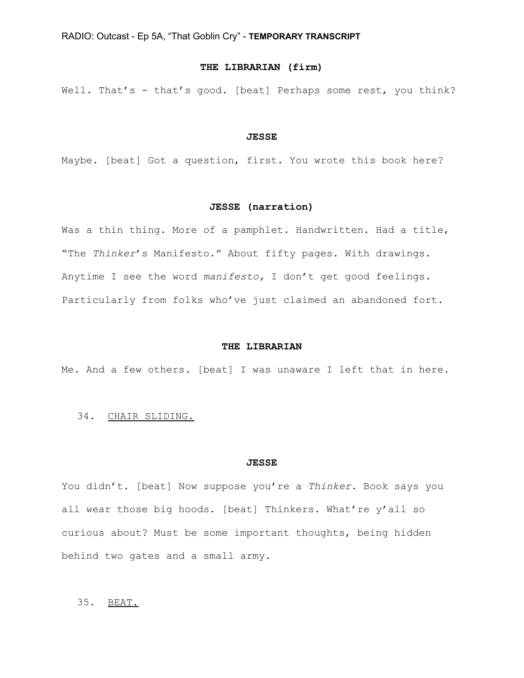# **THE LIBRARIAN (firm)**

Well. That's - that's good. [beat] Perhaps some rest, you think?

#### **JESSE**

Maybe. [beat] Got a question, first. You wrote this book here?

# **JESSE (narration)**

Was a thin thing. More of a pamphlet. Handwritten. Had a title, "The *Thinker*'s Manifesto." About fifty pages. With drawings. Anytime I see the word *manifesto,* I don't get good feelings. Particularly from folks who've just claimed an abandoned fort.

#### **THE LIBRARIAN**

Me. And a few others. [beat] I was unaware I left that in here.

## 34. CHAIR SLIDING.

#### **JESSE**

You didn't. [beat] Now suppose you're a *Thinker*. Book says you all wear those big hoods. [beat] Thinkers. What're y'all so curious about? Must be some important thoughts, being hidden behind two gates and a small army.

# 35. BEAT.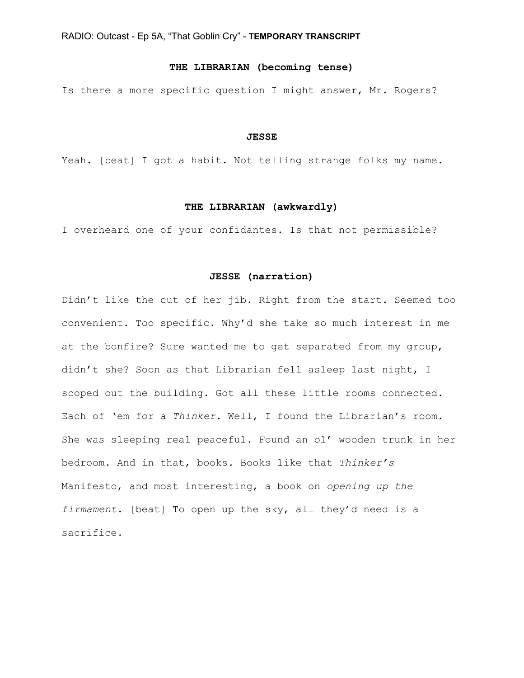# **THE LIBRARIAN (becoming tense)**

Is there a more specific question I might answer, Mr. Rogers?

#### **JESSE**

Yeah. [beat] I got a habit. Not telling strange folks my name.

## **THE LIBRARIAN (awkwardly)**

I overheard one of your confidantes. Is that not permissible?

## **JESSE (narration)**

Didn't like the cut of her jib. Right from the start. Seemed too convenient. Too specific. Why'd she take so much interest in me at the bonfire? Sure wanted me to get separated from my group, didn't she? Soon as that Librarian fell asleep last night, I scoped out the building. Got all these little rooms connected. Each of 'em for a *Thinker.* Well, I found the Librarian's room. She was sleeping real peaceful. Found an ol' wooden trunk in her bedroom. And in that, books. Books like that *Thinker's* Manifesto, and most interesting, a book on *opening up the firmament*. [beat] To open up the sky, all they'd need is a sacrifice.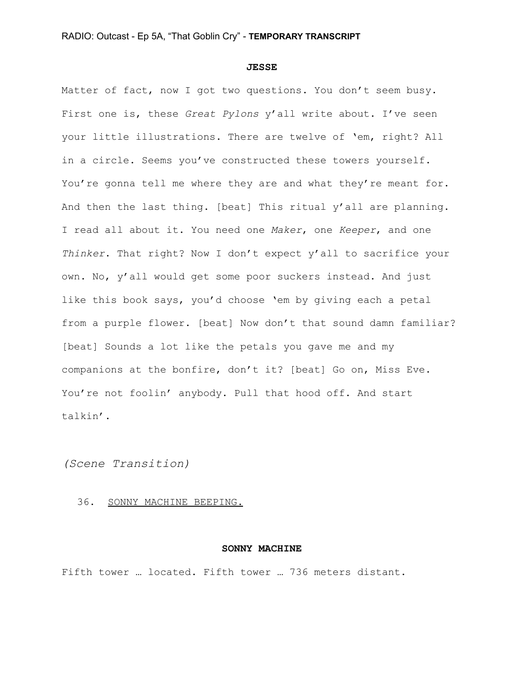#### **JESSE**

Matter of fact, now I got two questions. You don't seem busy. First one is, these *Great Pylons* y'all write about. I've seen your little illustrations. There are twelve of 'em, right? All in a circle. Seems you've constructed these towers yourself. You're gonna tell me where they are and what they're meant for. And then the last thing. [beat] This ritual y'all are planning. I read all about it. You need one *Maker*, one *Keeper*, and one *Thinker*. That right? Now I don't expect y'all to sacrifice your own. No, y'all would get some poor suckers instead. And just like this book says, you'd choose 'em by giving each a petal from a purple flower. [beat] Now don't that sound damn familiar? [beat] Sounds a lot like the petals you gave me and my companions at the bonfire, don't it? [beat] Go on, Miss Eve. You're not foolin' anybody. Pull that hood off. And start talkin'.

*(Scene Transition)*

#### 36. SONNY MACHINE BEEPING.

## **SONNY MACHINE**

Fifth tower … located. Fifth tower … 736 meters distant.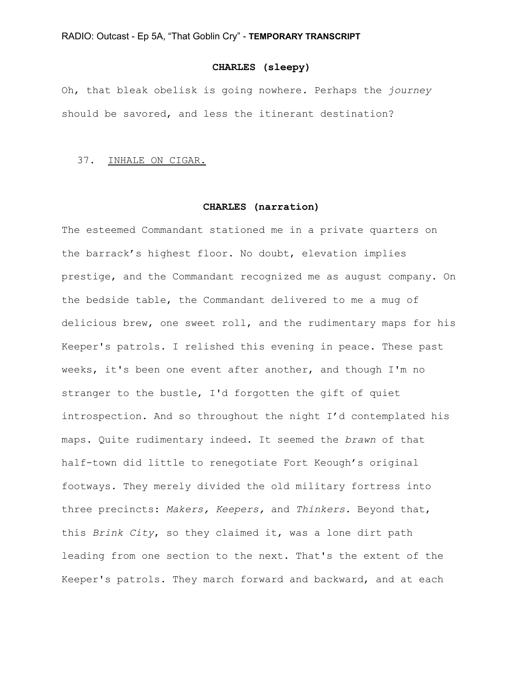# **CHARLES (sleepy)**

Oh, that bleak obelisk is going nowhere. Perhaps the *journey* should be savored, and less the itinerant destination?

# 37. INHALE ON CIGAR.

# **CHARLES (narration)**

The esteemed Commandant stationed me in a private quarters on the barrack's highest floor. No doubt, elevation implies prestige, and the Commandant recognized me as august company. On the bedside table, the Commandant delivered to me a mug of delicious brew, one sweet roll, and the rudimentary maps for his Keeper's patrols. I relished this evening in peace. These past weeks, it's been one event after another, and though I'm no stranger to the bustle, I'd forgotten the gift of quiet introspection. And so throughout the night I'd contemplated his maps. Quite rudimentary indeed. It seemed the *brawn* of that half-town did little to renegotiate Fort Keough's original footways. They merely divided the old military fortress into three precincts: *Makers, Keepers,* and *Thinkers.* Beyond that, this *Brink City*, so they claimed it, was a lone dirt path leading from one section to the next. That's the extent of the Keeper's patrols. They march forward and backward, and at each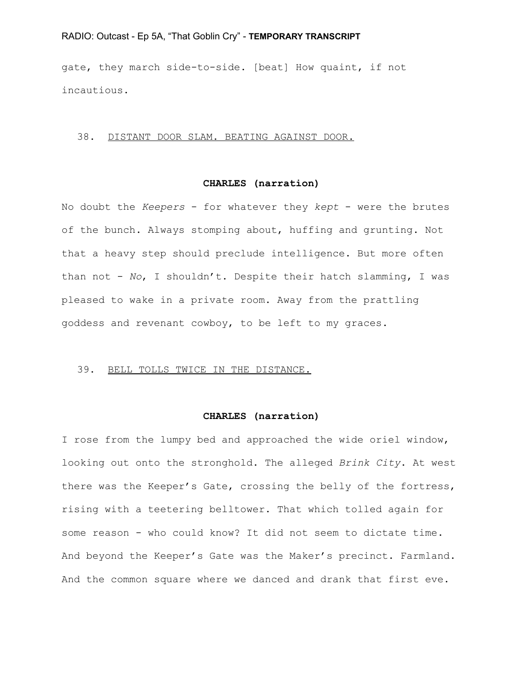gate, they march side-to-side. [beat] How quaint, if not incautious.

## 38. DISTANT DOOR SLAM. BEATING AGAINST DOOR.

# **CHARLES (narration)**

No doubt the *Keepers* - for whatever they *kept* - were the brutes of the bunch. Always stomping about, huffing and grunting. Not that a heavy step should preclude intelligence. But more often than not - *No*, I shouldn't. Despite their hatch slamming, I was pleased to wake in a private room. Away from the prattling goddess and revenant cowboy, to be left to my graces.

## 39. BELL TOLLS TWICE IN THE DISTANCE.

# **CHARLES (narration)**

I rose from the lumpy bed and approached the wide oriel window, looking out onto the stronghold. The alleged *Brink City*. At west there was the Keeper's Gate, crossing the belly of the fortress, rising with a teetering belltower. That which tolled again for some reason - who could know? It did not seem to dictate time. And beyond the Keeper's Gate was the Maker's precinct. Farmland. And the common square where we danced and drank that first eve.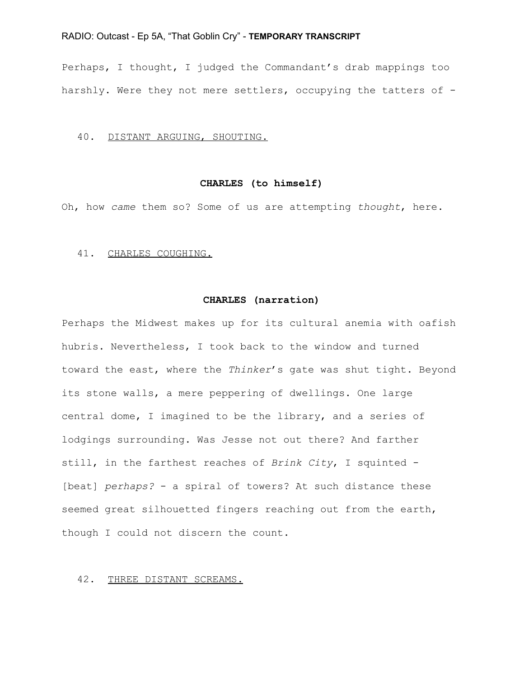Perhaps, I thought, I judged the Commandant's drab mappings too harshly. Were they not mere settlers, occupying the tatters of -

## 40. DISTANT ARGUING, SHOUTING.

# **CHARLES (to himself)**

Oh, how *came* them so? Some of us are attempting *thought*, here.

## 41. CHARLES COUGHING.

#### **CHARLES (narration)**

Perhaps the Midwest makes up for its cultural anemia with oafish hubris. Nevertheless, I took back to the window and turned toward the east, where the *Thinker*'s gate was shut tight. Beyond its stone walls, a mere peppering of dwellings. One large central dome, I imagined to be the library, and a series of lodgings surrounding. Was Jesse not out there? And farther still, in the farthest reaches of *Brink City*, I squinted - [beat] *perhaps?* - a spiral of towers? At such distance these seemed great silhouetted fingers reaching out from the earth, though I could not discern the count.

## 42. THREE DISTANT SCREAMS.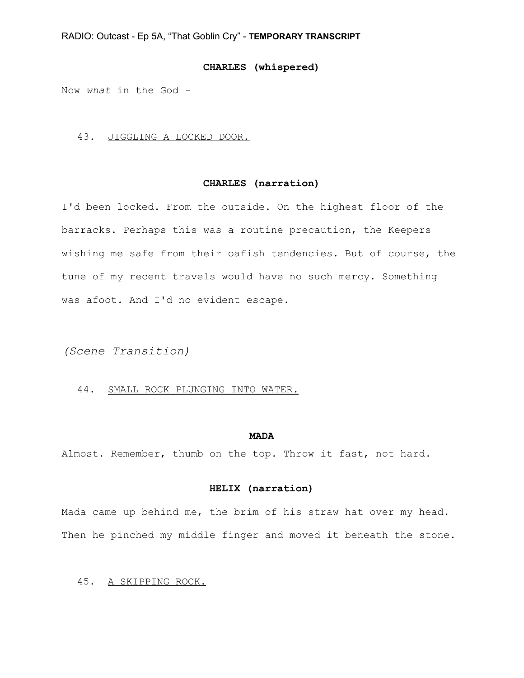# **CHARLES (whispered)**

Now *what* in the God -

# 43. JIGGLING A LOCKED DOOR.

# **CHARLES (narration)**

I'd been locked. From the outside. On the highest floor of the barracks. Perhaps this was a routine precaution, the Keepers wishing me safe from their oafish tendencies. But of course, the tune of my recent travels would have no such mercy. Something was afoot. And I'd no evident escape.

*(Scene Transition)*

44. SMALL ROCK PLUNGING INTO WATER.

#### **MADA**

Almost. Remember, thumb on the top. Throw it fast, not hard.

#### **HELIX (narration)**

Mada came up behind me, the brim of his straw hat over my head. Then he pinched my middle finger and moved it beneath the stone.

## 45. A SKIPPING ROCK.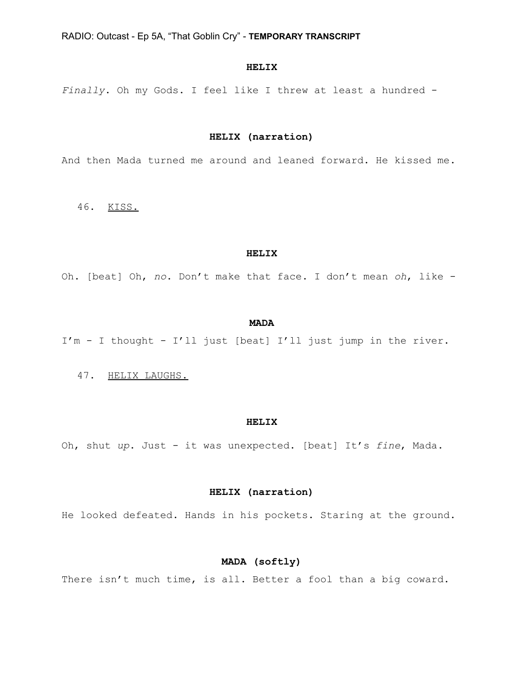## **HELIX**

*Finally*. Oh my Gods. I feel like I threw at least a hundred -

# **HELIX (narration)**

And then Mada turned me around and leaned forward. He kissed me.

46. KISS.

#### **HELIX**

Oh. [beat] Oh, *no*. Don't make that face. I don't mean *oh*, like -

#### **MADA**

I'm - I thought - I'll just [beat] I'll just jump in the river.

47. HELIX LAUGHS.

#### **HELIX**

Oh, shut *up*. Just - it was unexpected. [beat] It's *fine*, Mada.

# **HELIX (narration)**

He looked defeated. Hands in his pockets. Staring at the ground.

# **MADA (softly)**

There isn't much time, is all. Better a fool than a big coward.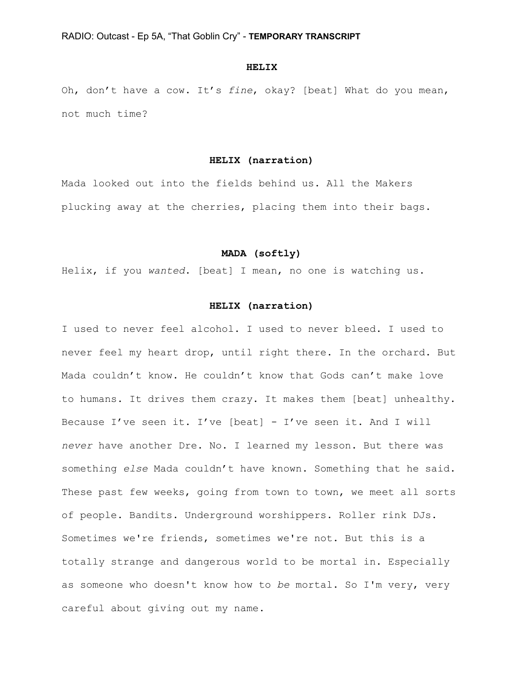## **HELIX**

Oh, don't have a cow. It's *fine*, okay? [beat] What do you mean, not much time?

## **HELIX (narration)**

Mada looked out into the fields behind us. All the Makers plucking away at the cherries, placing them into their bags.

#### **MADA (softly)**

Helix, if you *wanted*. [beat] I mean, no one is watching us.

# **HELIX (narration)**

I used to never feel alcohol. I used to never bleed. I used to never feel my heart drop, until right there. In the orchard. But Mada couldn't know. He couldn't know that Gods can't make love to humans. It drives them crazy. It makes them [beat] unhealthy. Because I've seen it. I've [beat] - I've seen it. And I will *never* have another Dre. No. I learned my lesson. But there was something *else* Mada couldn't have known. Something that he said. These past few weeks, going from town to town, we meet all sorts of people. Bandits. Underground worshippers. Roller rink DJs. Sometimes we're friends, sometimes we're not. But this is a totally strange and dangerous world to be mortal in. Especially as someone who doesn't know how to *be* mortal. So I'm very, very careful about giving out my name.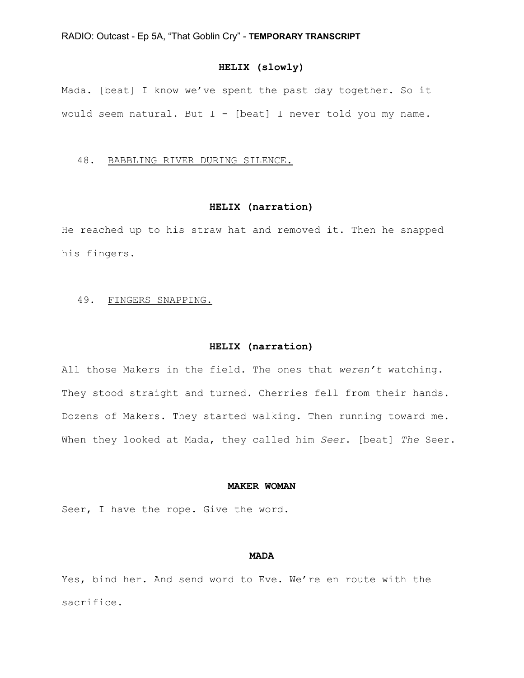# **HELIX (slowly)**

Mada. [beat] I know we've spent the past day together. So it would seem natural. But I - [beat] I never told you my name.

## 48. BABBLING RIVER DURING SILENCE.

# **HELIX (narration)**

He reached up to his straw hat and removed it. Then he snapped his fingers.

## 49. FINGERS SNAPPING.

## **HELIX (narration)**

All those Makers in the field. The ones that *weren't* watching. They stood straight and turned. Cherries fell from their hands. Dozens of Makers. They started walking. Then running toward me. When they looked at Mada, they called him *Seer*. [beat] *The* Seer.

#### **MAKER WOMAN**

Seer, I have the rope. Give the word.

### **MADA**

Yes, bind her. And send word to Eve. We're en route with the sacrifice.